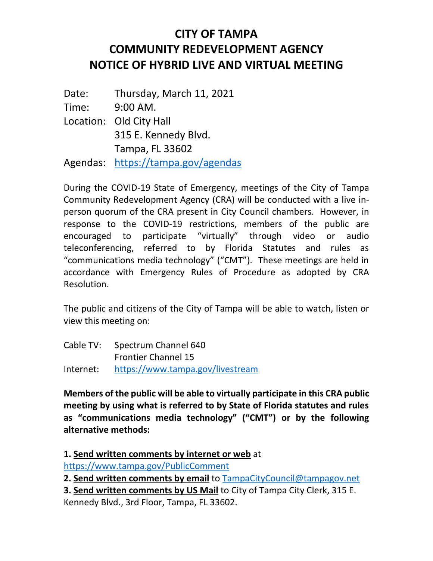## **CITY OF TAMPA COMMUNITY REDEVELOPMENT AGENCY NOTICE OF HYBRID LIVE AND VIRTUAL MEETING**

Date: Thursday, March 11, 2021 Time: 9:00 AM. Location: Old City Hall 315 E. Kennedy Blvd. Tampa, FL 33602 Agendas: <https://tampa.gov/agendas>

During the COVID-19 State of Emergency, meetings of the City of Tampa Community Redevelopment Agency (CRA) will be conducted with a live inperson quorum of the CRA present in City Council chambers. However, in response to the COVID-19 restrictions, members of the public are encouraged to participate "virtually" through video or audio teleconferencing, referred to by Florida Statutes and rules as "communications media technology" ("CMT"). These meetings are held in accordance with Emergency Rules of Procedure as adopted by CRA Resolution.

The public and citizens of the City of Tampa will be able to watch, listen or view this meeting on:

| Cable TV: | Spectrum Channel 640             |
|-----------|----------------------------------|
|           | <b>Frontier Channel 15</b>       |
| Internet: | https://www.tampa.gov/livestream |

**Members of the public will be able to virtually participate in this CRA public meeting by using what is referred to by State of Florida statutes and rules as "communications media technology" ("CMT") or by the following alternative methods:**

**1. Send written comments by internet or web** at

<https://www.tampa.gov/PublicComment>

**2. Send written comments by email** to [TampaCityCouncil@tampagov.net](mailto:TampaCityCouncil@tampagov.net)

**3. Send written comments by US Mail** to City of Tampa City Clerk, 315 E. Kennedy Blvd., 3rd Floor, Tampa, FL 33602.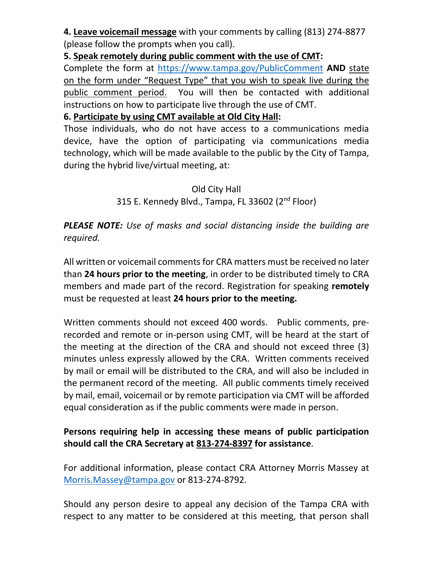**4. Leave voicemail message** with your comments by calling (813) 274-8877 (please follow the prompts when you call).

**5. Speak remotely during public comment with the use of CMT:**

Complete the form at <https://www.tampa.gov/PublicComment> **AND** state on the form under "Request Type" that you wish to speak live during the public comment period. You will then be contacted with additional instructions on how to participate live through the use of CMT.

**6. Participate by using CMT available at Old City Hall:**

Those individuals, who do not have access to a communications media device, have the option of participating via communications media technology, which will be made available to the public by the City of Tampa, during the hybrid live/virtual meeting, at:

## Old City Hall 315 E. Kennedy Blvd., Tampa, FL 33602 (2<sup>nd</sup> Floor)

## *PLEASE NOTE: Use of masks and social distancing inside the building are required.*

All written or voicemail comments for CRA matters must be received no later than **24 hours prior to the meeting**, in order to be distributed timely to CRA members and made part of the record. Registration for speaking **remotely** must be requested at least **24 hours prior to the meeting.**

Written comments should not exceed 400 words. Public comments, prerecorded and remote or in-person using CMT, will be heard at the start of the meeting at the direction of the CRA and should not exceed three (3) minutes unless expressly allowed by the CRA. Written comments received by mail or email will be distributed to the CRA, and will also be included in the permanent record of the meeting. All public comments timely received by mail, email, voicemail or by remote participation via CMT will be afforded equal consideration as if the public comments were made in person.

## **Persons requiring help in accessing these means of public participation should call the CRA Secretary at 813-274-8397 for assistance**.

For additional information, please contact CRA Attorney Morris Massey at [Morris.Massey@tampa.gov](mailto:Morris.Massey@tampa.gov) or 813-274-8792.

Should any person desire to appeal any decision of the Tampa CRA with respect to any matter to be considered at this meeting, that person shall